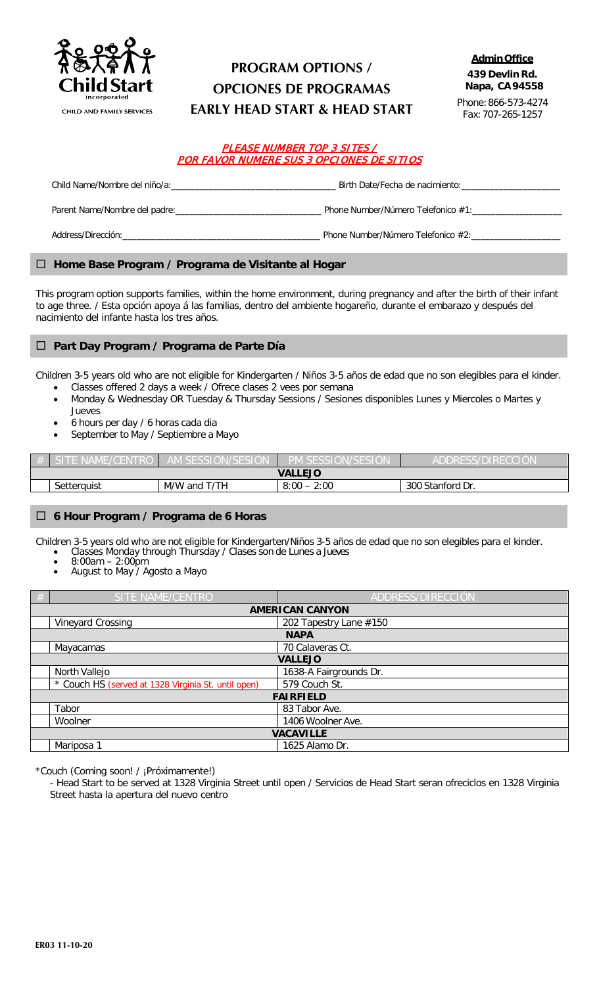

### **PROGRAM OPTIONS / OPCIONES DE PROGRAMAS EARLY HEAD START & HEAD START**

Phone:866-573-4274 Fax:707-265-1257

#### PLEASE NUMBER TOP 3 SITES / POR FAVOR NUMERE SUS 3 OPCIONES DE SITIOS

| Child Name/Nombre del niño/a:<br>      | Birth Date/Fecha de nacimiento:       |
|----------------------------------------|---------------------------------------|
| Parent Name/Nombre del padre:          | Phone Number/Número Telefonico #1:    |
| Address/Dirección: www.astronomia.com/ | Phone Number/Número Telefonico $#2$ : |

#### **Home Base Program / Programa de Visitante al Hogar**

This program option supports families, within the home environment, during pregnancy and after the birth of their infant to age three. / Esta opción apoya á las familias, dentro del ambiente hogareño, durante el embarazo y después del nacimiento del infante hasta los tres años.

#### **Part Day Program / Programa de Parte Día**

Children 3-5 years old who are not eligible for Kindergarten / Niños 3-5 años de edad que no son elegibles para el kinder.

- Classes offered 2 days a week / Ofrece clases 2 vees por semana
- Monday & Wednesday OR Tuesday & Thursday Sessions / Sesiones disponibles Lunes y Miercoles o Martes y
- Jueves • 6 hours per day / 6 horas cada dia
- September to May / Septiembre a Mayo

|                |                                                                         |  | /SESIUN<br>PIVI SESSIU | --<br>ADDRESS/D<br>× |  |  |  |  |
|----------------|-------------------------------------------------------------------------|--|------------------------|----------------------|--|--|--|--|
| <b>VALLEJO</b> |                                                                         |  |                        |                      |  |  |  |  |
|                | T/TH<br>M/W and T<br>2:00<br>8:00<br>Stanford Dr.<br>300<br>Setterquist |  |                        |                      |  |  |  |  |

#### **6 Hour Program / Programa de 6 Horas**

Children 3-5 years old who are not eligible for Kindergarten/Niños 3-5 años de edad que no son elegibles para el kinder. • Classes Monday through Thursday / Clases son de Lunes a Jueves

- $8:00$ am 2:00pm
- August to May / Agosto a Mayo

| # | SITE NAME/CENTRO                                    | ADDRESS/DIRECCIÓN      |  |  |  |  |
|---|-----------------------------------------------------|------------------------|--|--|--|--|
|   | <b>AMERICAN CANYON</b>                              |                        |  |  |  |  |
|   | Vineyard Crossing                                   | 202 Tapestry Lane #150 |  |  |  |  |
|   | <b>NAPA</b>                                         |                        |  |  |  |  |
|   | Mayacamas                                           | 70 Calaveras Ct.       |  |  |  |  |
|   | <b>VALLEJO</b>                                      |                        |  |  |  |  |
|   | North Vallejo                                       | 1638-A Fairgrounds Dr. |  |  |  |  |
|   | * Couch HS (served at 1328 Virginia St. until open) | 579 Couch St.          |  |  |  |  |
|   |                                                     | <b>FAIRFIELD</b>       |  |  |  |  |
|   | Tabor                                               | 83 Tabor Ave.          |  |  |  |  |
|   | Woolner                                             | 1406 Woolner Ave.      |  |  |  |  |
|   | <b>VACAVILLE</b>                                    |                        |  |  |  |  |
|   | Mariposa 1<br>1625 Alamo Dr.                        |                        |  |  |  |  |

\*Couch (Coming soon! / ¡Próximamente!)

- Head Start to be served at 1328 Virginia Street until open / Servicios de Head Start seran ofreciclos en 1328 Virginia Street hasta la apertura del nuevo centro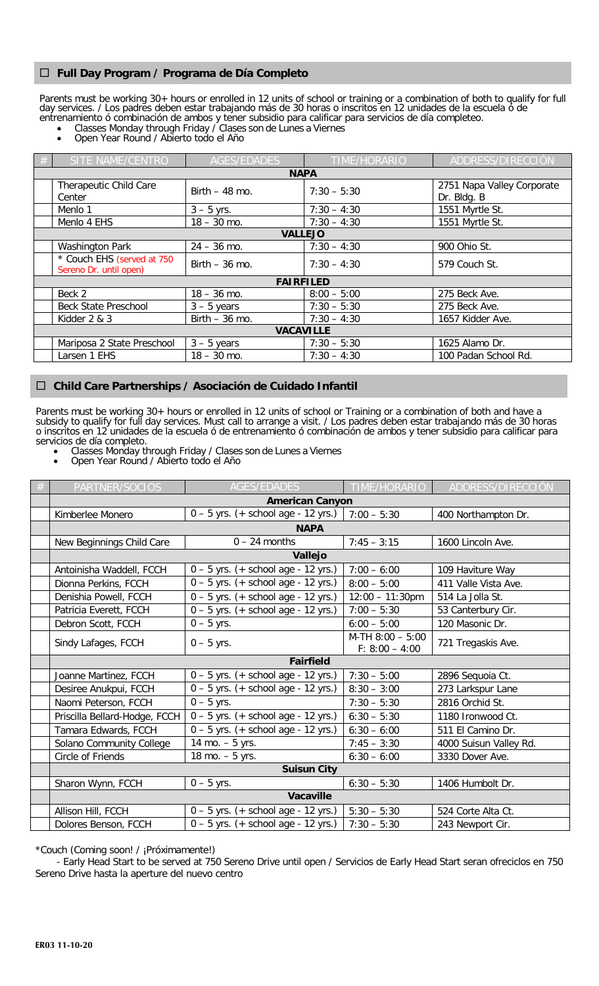#### **Full Day Program / Programa de Día Completo**

Parents must be working 30+ hours or enrolled in 12 units of school or training or a combination of both to qualify for full day services. / Los padres deben estar trabajando más de 30 horas o inscritos en 12 unidades de la escuela ó de entrenamiento ó combinación de ambos y tener subsidio para calificar para servicios de día completeo.

- Classes Monday through Friday / Clases son de Lunes a Viernes
- Open Year Round / Abierto todo el Año

| # | SITE NAME/CENTRO<br><b>AGES/EDADES</b>               |                  | <b>TIME/HORARIO</b> | ADDRESS/DIRECCIÓN                         |  |  |  |
|---|------------------------------------------------------|------------------|---------------------|-------------------------------------------|--|--|--|
|   |                                                      |                  | <b>NAPA</b>         |                                           |  |  |  |
|   | Therapeutic Child Care<br>Center                     | Birth $-48$ mo.  | $7:30 - 5:30$       | 2751 Napa Valley Corporate<br>Dr. Bldg. B |  |  |  |
|   | Menlo 1                                              | $3 - 5$ yrs.     | $7:30 - 4:30$       | 1551 Myrtle St.                           |  |  |  |
|   | Menlo 4 EHS                                          | $18 - 30$ mo.    | $7:30 - 4:30$       | 1551 Myrtle St.                           |  |  |  |
|   | <b>VALLEJO</b>                                       |                  |                     |                                           |  |  |  |
|   | <b>Washington Park</b>                               | $24 - 36$ mo.    | $7:30 - 4:30$       | 900 Ohio St.                              |  |  |  |
|   | * Couch EHS (served at 750<br>Sereno Dr. until open) | Birth $-36$ mo.  | $7:30 - 4:30$       | 579 Couch St.                             |  |  |  |
|   |                                                      | <b>FAIRFILED</b> |                     |                                           |  |  |  |
|   | Beck 2                                               | $18 - 36$ mo.    | $8:00 - 5:00$       | 275 Beck Ave.                             |  |  |  |
|   | <b>Beck State Preschool</b>                          | $3 - 5$ years    | $7:30 - 5:30$       | 275 Beck Ave.                             |  |  |  |
|   | Kidder 2 & 3                                         | Birth $-36$ mo.  | $7:30 - 4:30$       | 1657 Kidder Ave.                          |  |  |  |
|   | <b>VACAVILLE</b>                                     |                  |                     |                                           |  |  |  |
|   | Mariposa 2 State Preschool                           | $3 - 5$ years    | $7:30 - 5:30$       | 1625 Alamo Dr.                            |  |  |  |
|   | Larsen 1 EHS                                         | $18 - 30$ mo.    | $7:30 - 4:30$       | 100 Padan School Rd.                      |  |  |  |

#### **Child Care Partnerships / Asociación de Cuidado Infantil**

Parents must be working 30+ hours or enrolled in 12 units of school or Training or a combination of both and have a subsidy to qualify for full day services. Must call to arrange a visit. / Los padres deben estar trabajando más de 30 horas o inscritos en 12 unidades de la escuela ó de entrenamiento ó combinación de ambos y tener subsidio para calificar para servicios de día completo.<br>
Classes Monday the

- Classes Monday through Friday / Clases son de Lunes a Viernes
- Open Year Round / Abierto todo el Año

|                  | PARTNER/SOCIOS                | <b>AGES/EDADES</b>                    | TIME/HORARIO                           | ADDRESS/DIRECCIÓN      |  |  |  |
|------------------|-------------------------------|---------------------------------------|----------------------------------------|------------------------|--|--|--|
|                  | <b>American Canyon</b>        |                                       |                                        |                        |  |  |  |
|                  | Kimberlee Monero              | $0 - 5$ yrs. (+ school age - 12 yrs.) | $7:00 - 5:30$                          | 400 Northampton Dr.    |  |  |  |
|                  |                               | <b>NAPA</b>                           |                                        |                        |  |  |  |
|                  | New Beginnings Child Care     | $0 - 24$ months                       | $7:45 - 3:15$                          | 1600 Lincoln Ave.      |  |  |  |
|                  |                               | Vallejo                               |                                        |                        |  |  |  |
|                  | Antoinisha Waddell, FCCH      | $0 - 5$ yrs. (+ school age - 12 yrs.) | $7:00 - 6:00$<br>109 Haviture Way      |                        |  |  |  |
|                  | Dionna Perkins, FCCH          | $0 - 5$ yrs. (+ school age - 12 yrs.) | $8:00 - 5:00$                          | 411 Valle Vista Ave.   |  |  |  |
|                  | Denishia Powell, FCCH         | $0 - 5$ yrs. (+ school age - 12 yrs.) | $12:00 - 11:30$ pm                     | 514 La Jolla St.       |  |  |  |
|                  | Patricia Everett, FCCH        | $0 - 5$ yrs. (+ school age - 12 yrs.) | $7:00 - 5:30$                          | 53 Canterbury Cir.     |  |  |  |
|                  | Debron Scott, FCCH            | $0 - 5$ yrs.                          | $6:00 - 5:00$                          | 120 Masonic Dr.        |  |  |  |
|                  | Sindy Lafages, FCCH           | $0 - 5$ yrs.                          | $M-TH$ 8:00 - 5:00<br>$F: 8:00 - 4:00$ | 721 Tregaskis Ave.     |  |  |  |
| <b>Fairfield</b> |                               |                                       |                                        |                        |  |  |  |
|                  | Joanne Martinez, FCCH         | $0 - 5$ yrs. (+ school age - 12 yrs.) | $7:30 - 5:00$                          | 2896 Sequoia Ct.       |  |  |  |
|                  | Desiree Anukpui, FCCH         | $0 - 5$ yrs. (+ school age - 12 yrs.) | $8:30 - 3:00$                          | 273 Larkspur Lane      |  |  |  |
|                  | Naomi Peterson, FCCH          | $0 - 5$ yrs.                          | $7:30 - 5:30$                          | 2816 Orchid St.        |  |  |  |
|                  | Priscilla Bellard-Hodge, FCCH | $0 - 5$ yrs. (+ school age - 12 yrs.) | $6:30 - 5:30$                          | 1180 Ironwood Ct.      |  |  |  |
|                  | Tamara Edwards, FCCH          | $0 - 5$ yrs. (+ school age - 12 yrs.) | $6:30 - 6:00$                          | 511 El Camino Dr.      |  |  |  |
|                  | Solano Community College      | 14 mo. $-5$ yrs.                      | $7:45 - 3:30$                          | 4000 Suisun Valley Rd. |  |  |  |
|                  | Circle of Friends             | 18 mo. $-5$ yrs.                      | $6:30 - 6:00$                          | 3330 Dover Ave.        |  |  |  |
|                  | <b>Suisun City</b>            |                                       |                                        |                        |  |  |  |
|                  | Sharon Wynn, FCCH             | $0 - 5$ yrs.                          | $6:30 - 5:30$                          | 1406 Humbolt Dr.       |  |  |  |
|                  |                               | <b>Vacaville</b>                      |                                        |                        |  |  |  |
|                  | Allison Hill, FCCH            | $0 - 5$ yrs. (+ school age - 12 yrs.) | $5:30 - 5:30$                          | 524 Corte Alta Ct.     |  |  |  |
|                  | Dolores Benson, FCCH          | $0 - 5$ yrs. (+ school age - 12 yrs.) | $7:30 - 5:30$                          | 243 Newport Cir.       |  |  |  |

\*Couch (Coming soon! / ¡Próximamente!)

 - Early Head Start to be served at 750 Sereno Drive until open / Servicios de Early Head Start seran ofreciclos en 750 Sereno Drive hasta la aperture del nuevo centro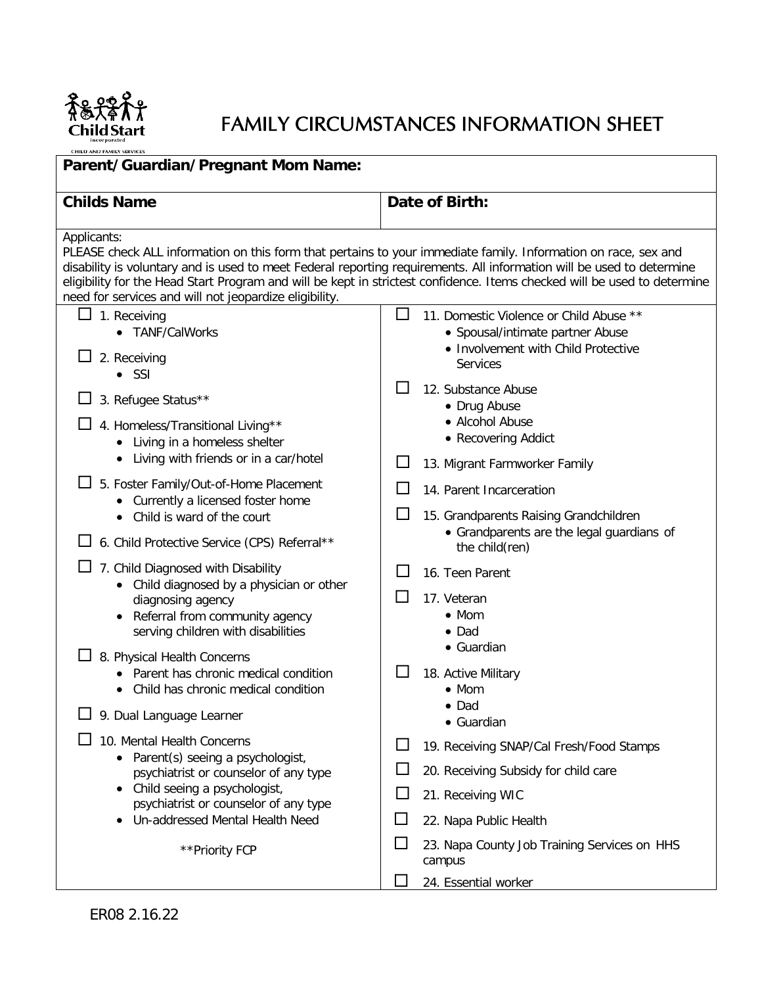

# FAMILY CIRCUMSTANCES INFORMATION SHEET

| CHILD AND FAMILY SERVICES                                                                                                                                                                                                                                                                                                                                                                                                                                                                                                                               |                                                                                                                                                                                                                                                                                                                                                                                                                                                                                                           |  |  |  |  |
|---------------------------------------------------------------------------------------------------------------------------------------------------------------------------------------------------------------------------------------------------------------------------------------------------------------------------------------------------------------------------------------------------------------------------------------------------------------------------------------------------------------------------------------------------------|-----------------------------------------------------------------------------------------------------------------------------------------------------------------------------------------------------------------------------------------------------------------------------------------------------------------------------------------------------------------------------------------------------------------------------------------------------------------------------------------------------------|--|--|--|--|
| Parent/Guardian/Pregnant Mom Name:                                                                                                                                                                                                                                                                                                                                                                                                                                                                                                                      |                                                                                                                                                                                                                                                                                                                                                                                                                                                                                                           |  |  |  |  |
| <b>Childs Name</b>                                                                                                                                                                                                                                                                                                                                                                                                                                                                                                                                      | Date of Birth:                                                                                                                                                                                                                                                                                                                                                                                                                                                                                            |  |  |  |  |
| Applicants:<br>PLEASE check ALL information on this form that pertains to your immediate family. Information on race, sex and<br>disability is voluntary and is used to meet Federal reporting requirements. All information will be used to determine<br>need for services and will not jeopardize eligibility.                                                                                                                                                                                                                                        | eligibility for the Head Start Program and will be kept in strictest confidence. Items checked will be used to determine                                                                                                                                                                                                                                                                                                                                                                                  |  |  |  |  |
| 1. Receiving<br>• TANF/CalWorks<br>2. Receiving<br>$\bullet$ SSI<br>3. Refugee Status**<br>4. Homeless/Transitional Living**<br>• Living in a homeless shelter<br>Living with friends or in a car/hotel<br>5. Foster Family/Out-of-Home Placement<br>• Currently a licensed foster home<br>• Child is ward of the court<br>6. Child Protective Service (CPS) Referral**<br>7. Child Diagnosed with Disability<br>• Child diagnosed by a physician or other<br>diagnosing agency<br>Referral from community agency<br>serving children with disabilities | $\perp$<br>11. Domestic Violence or Child Abuse **<br>• Spousal/intimate partner Abuse<br>• Involvement with Child Protective<br><b>Services</b><br>12. Substance Abuse<br>• Drug Abuse<br>• Alcohol Abuse<br>• Recovering Addict<br>13. Migrant Farmworker Family<br>$\mathsf{L}$<br>14. Parent Incarceration<br>15. Grandparents Raising Grandchildren<br>• Grandparents are the legal guardians of<br>the child(ren)<br>16. Teen Parent<br>17. Veteran<br>$\bullet$ Mom<br>$\bullet$ Dad<br>• Guardian |  |  |  |  |
| 8. Physical Health Concerns<br>• Parent has chronic medical condition<br>Child has chronic medical condition<br>9. Dual Language Learner<br>10. Mental Health Concerns<br>Parent(s) seeing a psychologist,<br>psychiatrist or counselor of any type<br>Child seeing a psychologist,<br>psychiatrist or counselor of any type<br>• Un-addressed Mental Health Need                                                                                                                                                                                       | 18. Active Military<br>$\bullet$ Mom<br>$\bullet$ Dad<br>• Guardian<br>19. Receiving SNAP/Cal Fresh/Food Stamps<br>ΙI<br>20. Receiving Subsidy for child care<br>21. Receiving WIC<br>$\Box$                                                                                                                                                                                                                                                                                                              |  |  |  |  |
| **Priority FCP                                                                                                                                                                                                                                                                                                                                                                                                                                                                                                                                          | 22. Napa Public Health<br>□<br>23. Napa County Job Training Services on HHS<br>campus<br>24. Essential worker                                                                                                                                                                                                                                                                                                                                                                                             |  |  |  |  |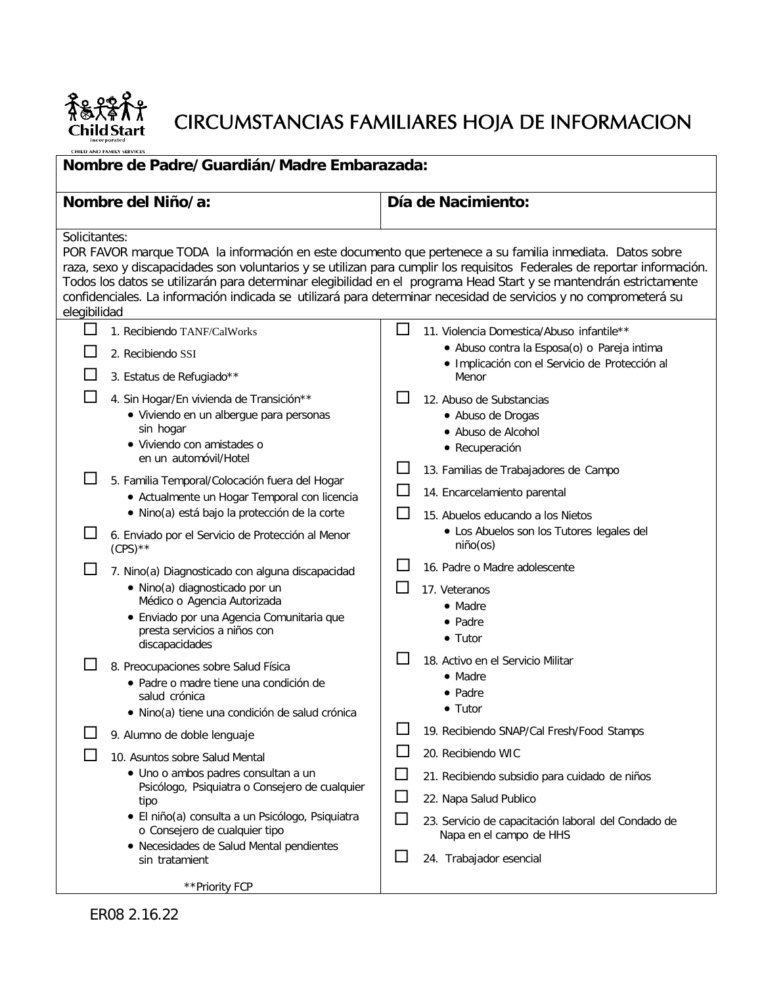

# CIRCUMSTANCIAS FAMILIARES HOJA DE INFORMACION

| incorporated |                                                       |  |  |  |  |  |
|--------------|-------------------------------------------------------|--|--|--|--|--|
|              | who are not the case who is about the contract of the |  |  |  |  |  |

| Nombre de Padre/Guardián/Madre Embarazada:                                                                                                                                                                                                                                                                                                                                                                                                                                                                                                                                                                                                                                                                                                                   |                                                                                                                                                                                                                                                                                                                                                                                                                                       |  |  |  |  |
|--------------------------------------------------------------------------------------------------------------------------------------------------------------------------------------------------------------------------------------------------------------------------------------------------------------------------------------------------------------------------------------------------------------------------------------------------------------------------------------------------------------------------------------------------------------------------------------------------------------------------------------------------------------------------------------------------------------------------------------------------------------|---------------------------------------------------------------------------------------------------------------------------------------------------------------------------------------------------------------------------------------------------------------------------------------------------------------------------------------------------------------------------------------------------------------------------------------|--|--|--|--|
| Nombre del Niño/a:                                                                                                                                                                                                                                                                                                                                                                                                                                                                                                                                                                                                                                                                                                                                           | Día de Nacimiento:                                                                                                                                                                                                                                                                                                                                                                                                                    |  |  |  |  |
| Solicitantes:<br>POR FAVOR marque TODA la información en este documento que pertenece a su familia inmediata. Datos sobre<br>raza, sexo y discapacidades son voluntarios y se utilizan para cumplir los requisitos Federales de reportar información.<br>Todos los datos se utilizarán para determinar elegibilidad en el programa Head Start y se mantendrán estrictamente<br>confidenciales. La información indicada se utilizará para determinar necesidad de servicios y no comprometerá su<br>elegibilidad                                                                                                                                                                                                                                              |                                                                                                                                                                                                                                                                                                                                                                                                                                       |  |  |  |  |
| $\Box$<br>1. Recibiendo TANF/CalWorks<br>2. Recibiendo SSI<br>3. Estatus de Refugiado**                                                                                                                                                                                                                                                                                                                                                                                                                                                                                                                                                                                                                                                                      | ΙI<br>11. Violencia Domestica/Abuso infantile**<br>· Abuso contra la Esposa(o) o Pareja intima<br>· Implicación con el Servicio de Protección al<br>Menor                                                                                                                                                                                                                                                                             |  |  |  |  |
| 4. Sin Hogar/En vivienda de Transición**<br>· Viviendo en un albergue para personas<br>sin hogar<br>· Viviendo con amistades o<br>en un automóvil/Hotel<br>l.<br>5. Familia Temporal/Colocación fuera del Hogar<br>• Actualmente un Hogar Temporal con licencia<br>· Nino(a) está bajo la protección de la corte<br>6. Enviado por el Servicio de Protección al Menor<br>$(CPS)$ **<br>7. Nino(a) Diagnosticado con alguna discapacidad<br>· Nino(a) diagnosticado por un<br>Médico o Agencia Autorizada<br>· Enviado por una Agencia Comunitaria que<br>presta servicios a niños con<br>discapacidades<br>8. Preocupaciones sobre Salud Física<br>• Padre o madre tiene una condición de<br>salud crónica<br>· Nino(a) tiene una condición de salud crónica | 12. Abuso de Substancias<br>• Abuso de Drogas<br>• Abuso de Alcohol<br>• Recuperación<br>13. Familias de Trabajadores de Campo<br>14. Encarcelamiento parental<br>15. Abuelos educando a los Nietos<br>• Los Abuelos son los Tutores legales del<br>niño(os)<br>16. Padre o Madre adolescente<br>17. Veteranos<br>• Madre<br>• Padre<br>$\bullet$ Tutor<br>18. Activo en el Servicio Militar<br>• Madre<br>• Padre<br>$\bullet$ Tutor |  |  |  |  |
| 9. Alumno de doble lenguaje<br>10. Asuntos sobre Salud Mental<br>· Uno o ambos padres consultan a un<br>Psicólogo, Psiquiatra o Consejero de cualquier<br>tipo<br>· El niño(a) consulta a un Psicólogo, Psiquiatra<br>o Consejero de cualquier tipo<br>• Necesidades de Salud Mental pendientes<br>sin tratamient<br>**Priority FCP                                                                                                                                                                                                                                                                                                                                                                                                                          | 19. Recibiendo SNAP/Cal Fresh/Food Stamps<br>20. Recibiendo WIC<br>$\overline{\phantom{a}}$<br>21. Recibiendo subsidio para cuidado de niños<br>$\overline{\phantom{a}}$<br>22. Napa Salud Publico<br>$\Box$<br>23. Servicio de capacitación laboral del Condado de<br>Napa en el campo de HHS<br>24. Trabajador esencial                                                                                                             |  |  |  |  |